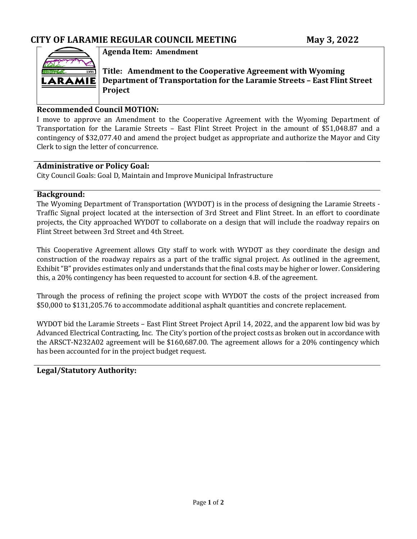

**Agenda Item: Amendment**

**Title: Amendment to the Cooperative Agreement with Wyoming Department of Transportation for the Laramie Streets – East Flint Street Project**

## **Recommended Council MOTION:**

I move to approve an Amendment to the Cooperative Agreement with the Wyoming Department of Transportation for the Laramie Streets – East Flint Street Project in the amount of \$51,048.87 and a contingency of \$32,077.40 and amend the project budget as appropriate and authorize the Mayor and City Clerk to sign the letter of concurrence.

## **Administrative or Policy Goal:**

City Council Goals: Goal D, Maintain and Improve Municipal Infrastructure

#### **Background:**

The Wyoming Department of Transportation (WYDOT) is in the process of designing the Laramie Streets - Traffic Signal project located at the intersection of 3rd Street and Flint Street. In an effort to coordinate projects, the City approached WYDOT to collaborate on a design that will include the roadway repairs on Flint Street between 3rd Street and 4th Street.

This Cooperative Agreement allows City staff to work with WYDOT as they coordinate the design and construction of the roadway repairs as a part of the traffic signal project. As outlined in the agreement, Exhibit "B" provides estimates only and understands that the final costs may be higher or lower. Considering this, a 20% contingency has been requested to account for section 4.B. of the agreement.

Through the process of refining the project scope with WYDOT the costs of the project increased from \$50,000 to \$131,205.76 to accommodate additional asphalt quantities and concrete replacement.

WYDOT bid the Laramie Streets – East Flint Street Project April 14, 2022, and the apparent low bid was by Advanced Electrical Contracting, Inc. The City's portion of the project costs as broken out in accordance with the ARSCT-N232A02 agreement will be \$160,687.00. The agreement allows for a 20% contingency which has been accounted for in the project budget request.

**Legal/Statutory Authority:**